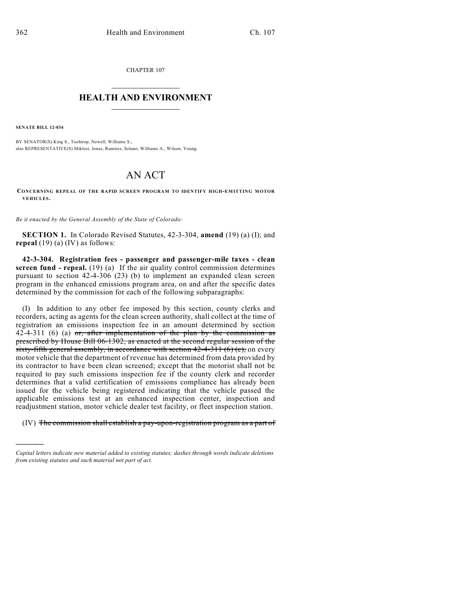CHAPTER 107

## $\mathcal{L}_\text{max}$  . The set of the set of the set of the set of the set of the set of the set of the set of the set of the set of the set of the set of the set of the set of the set of the set of the set of the set of the set **HEALTH AND ENVIRONMENT**  $\_$

**SENATE BILL 12-034**

)))))

BY SENATOR(S) King S., Tochtrop, Newell, Williams S.; also REPRESENTATIVE(S) Miklosi, Jones, Ramirez, Solano, Williams A., Wilson, Young.

## AN ACT

**CONCERNING REPEAL OF THE RAPID SCREEN PROGRAM TO IDENTIFY HIGH-EM ITTING MOTOR VEHICLES.**

*Be it enacted by the General Assembly of the State of Colorado:*

**SECTION 1.** In Colorado Revised Statutes, 42-3-304, **amend** (19) (a) (I); and **repeal** (19) (a) (IV) as follows:

**42-3-304. Registration fees - passenger and passenger-mile taxes - clean screen fund - repeal.** (19) (a) If the air quality control commission determines pursuant to section 42-4-306 (23) (b) to implement an expanded clean screen program in the enhanced emissions program area, on and after the specific dates determined by the commission for each of the following subparagraphs:

(I) In addition to any other fee imposed by this section, county clerks and recorders, acting as agents for the clean screen authority, shall collect at the time of registration an emissions inspection fee in an amount determined by section  $42-4-311$  (6) (a) or, after implementation of the plan by the commission as prescribed by House Bill 06-1302, as enacted at the second regular session of the sixty-fifth general assembly, in accordance with section  $42-4-311$  (6) (c), on every motor vehicle that the department of revenue has determined from data provided by its contractor to have been clean screened; except that the motorist shall not be required to pay such emissions inspection fee if the county clerk and recorder determines that a valid certification of emissions compliance has already been issued for the vehicle being registered indicating that the vehicle passed the applicable emissions test at an enhanced inspection center, inspection and readjustment station, motor vehicle dealer test facility, or fleet inspection station.

(IV) The commission shall establish a pay-upon-registration program as a part of

*Capital letters indicate new material added to existing statutes; dashes through words indicate deletions from existing statutes and such material not part of act.*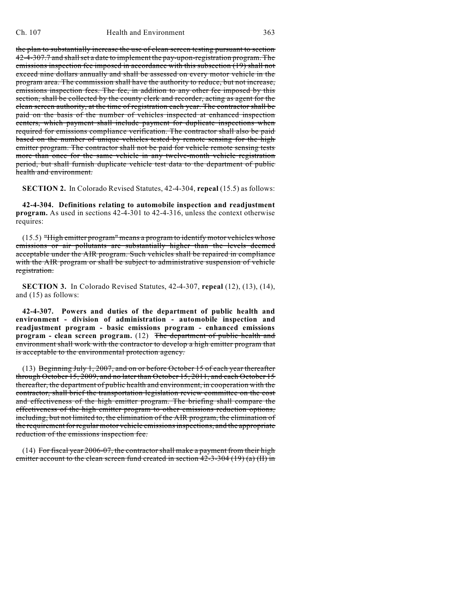the plan to substantially increase the use of clean screen testing pursuant to section 42-4-307.7 and shallset a date to implement the pay-upon-registration program. The emissions inspection fee imposed in accordance with this subsection (19) shall not exceed nine dollars annually and shall be assessed on every motor vehicle in the program area. The commission shall have the authority to reduce, but not increase, emissions inspection fees. The fee, in addition to any other fee imposed by this section, shall be collected by the county clerk and recorder, acting as agent for the clean screen authority, at the time of registration each year. The contractor shall be paid on the basis of the number of vehicles inspected at enhanced inspection centers, which payment shall include payment for duplicate inspections when required for emissions compliance verification. The contractor shall also be paid based on the number of unique vehicles tested by remote sensing for the high emitter program. The contractor shall not be paid for vehicle remote sensing tests more than once for the same vehicle in any twelve-month vehicle registration period, but shall furnish duplicate vehicle test data to the department of public health and environment.

**SECTION 2.** In Colorado Revised Statutes, 42-4-304, **repeal** (15.5) as follows:

**42-4-304. Definitions relating to automobile inspection and readjustment program.** As used in sections 42-4-301 to 42-4-316, unless the context otherwise requires:

(15.5) "High emitter program" means a program to identify motor vehicles whose emissions or air pollutants are substantially higher than the levels deemed acceptable under the AIR program. Such vehicles shall be repaired in compliance with the AIR program or shall be subject to administrative suspension of vehicle registration.

**SECTION 3.** In Colorado Revised Statutes, 42-4-307, **repeal** (12), (13), (14), and (15) as follows:

**42-4-307. Powers and duties of the department of public health and environment - division of administration - automobile inspection and readjustment program - basic emissions program - enhanced emissions program - clean screen program.** (12) The department of public health and environment shall work with the contractor to develop a high emitter program that is acceptable to the environmental protection agency.

(13) Beginning July 1, 2007, and on or before October 15 of each year thereafter through October 15, 2009, and no later than October 15, 2011, and each October 15 thereafter, the department of public health and environment, in cooperation with the contractor, shall brief the transportation legislation review committee on the cost and effectiveness of the high emitter program. The briefing shall compare the effectiveness of the high emitter program to other emissions reduction options, including, but not limited to, the elimination of the AIR program, the elimination of the requirement for regular motor vehicle emissionsinspections, and the appropriate reduction of the emissions inspection fee.

(14) For fiscal year 2006-07, the contractor shall make a payment from their high emitter account to the clean screen fund created in section  $42-3-304$  (19) (a) (II) in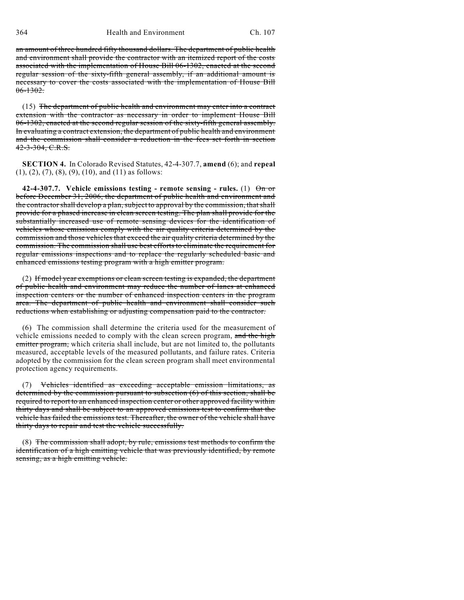364 Health and Environment Ch. 107

an amount of three hundred fifty thousand dollars. The department of public health and environment shall provide the contractor with an itemized report of the costs associated with the implementation of House Bill 06-1302, enacted at the second regular session of the sixty-fifth general assembly, if an additional amount is necessary to cover the costs associated with the implementation of House Bill  $06-1302.$ 

(15) The department of public health and environment may enter into a contract extension with the contractor as necessary in order to implement House Bill 06-1302, enacted at the second regular session of the sixty-fifth general assembly. In evaluating a contract extension, the department of public health and environment and the commission shall consider a reduction in the fees set forth in section  $42 - 3 - 304$ , C.R.S.

**SECTION 4.** In Colorado Revised Statutes, 42-4-307.7, **amend** (6); and **repeal** (1), (2), (7), (8), (9), (10), and (11) as follows:

**42-4-307.7. Vehicle emissions testing - remote sensing - rules.** (1) On or before December 31, 2006, the department of public health and environment and the contractor shall develop a plan, subject to approval by the commission, that shall provide for a phased increase in clean screen testing. The plan shall provide for the substantially increased use of remote sensing devices for the identification of vehicles whose emissions comply with the air quality criteria determined by the commission and those vehicles that exceed the air quality criteria determined by the commission. The commission shall use best efforts to eliminate the requirement for regular emissions inspections and to replace the regularly scheduled basic and enhanced emissions testing program with a high emitter program.

(2) If model year exemptions or clean screen testing is expanded, the department of public health and environment may reduce the number of lanes at enhanced inspection centers or the number of enhanced inspection centers in the program area. The department of public health and environment shall consider such reductions when establishing or adjusting compensation paid to the contractor.

(6) The commission shall determine the criteria used for the measurement of vehicle emissions needed to comply with the clean screen program, and the high emitter program, which criteria shall include, but are not limited to, the pollutants measured, acceptable levels of the measured pollutants, and failure rates. Criteria adopted by the commission for the clean screen program shall meet environmental protection agency requirements.

(7) Vehicles identified as exceeding acceptable emission limitations, as determined by the commission pursuant to subsection (6) of this section, shall be required to report to an enhanced inspection center or other approved facility within thirty days and shall be subject to an approved emissions test to confirm that the vehicle has failed the emissions test. Thereafter, the owner of the vehicle shall have thirty days to repair and test the vehicle successfully.

(8) The commission shall adopt, by rule, emissions test methods to confirm the identification of a high emitting vehicle that was previously identified, by remote sensing, as a high emitting vehicle.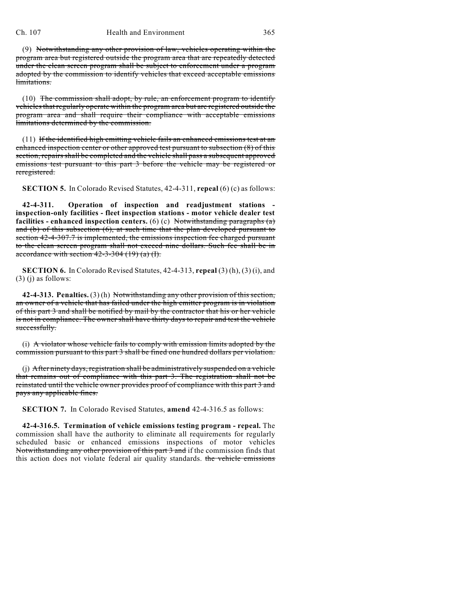## Ch. 107 Health and Environment 365

(9) Notwithstanding any other provision of law, vehicles operating within the program area but registered outside the program area that are repeatedly detected under the clean screen program shall be subject to enforcement under a program adopted by the commission to identify vehicles that exceed acceptable emissions limitations.

(10) The commission shall adopt, by rule, an enforcement program to identify vehicles that regularly operate within the program area but are registered outside the program area and shall require their compliance with acceptable emissions limitations determined by the commission.

(11) If the identified high emitting vehicle fails an enhanced emissions test at an enhanced inspection center or other approved test pursuant to subsection (8) of this section, repairs shall be completed and the vehicle shall pass a subsequent approved emissions test pursuant to this part 3 before the vehicle may be registered or reregistered.

**SECTION 5.** In Colorado Revised Statutes, 42-4-311, **repeal** (6) (c) as follows:

**42-4-311. Operation of inspection and readjustment stations inspection-only facilities - fleet inspection stations - motor vehicle dealer test facilities - enhanced inspection centers.** (6) (c) Notwithstanding paragraphs (a) and (b) of this subsection (6), at such time that the plan developed pursuant to section 42-4-307.7 is implemented, the emissions inspection fee charged pursuant to the clean screen program shall not exceed nine dollars. Such fee shall be in accordance with section  $42-3-304$  (19) (a) (I).

**SECTION 6.** In Colorado Revised Statutes, 42-4-313, **repeal** (3) (h), (3) (i), and  $(3)$  (j) as follows:

**42-4-313. Penalties.** (3) (h) Notwithstanding any other provision of this section, an owner of a vehicle that has failed under the high emitter program is in violation of this part 3 and shall be notified by mail by the contractor that his or her vehicle is not in compliance. The owner shall have thirty days to repair and test the vehicle successfully.

(i) A violator whose vehicle fails to comply with emission limits adopted by the commission pursuant to this part 3 shall be fined one hundred dollars per violation.

(j) After ninety days, registration shall be administratively suspended on a vehicle that remains out of compliance with this part 3. The registration shall not be reinstated until the vehicle owner provides proof of compliance with this part 3 and pays any applicable fines.

**SECTION 7.** In Colorado Revised Statutes, **amend** 42-4-316.5 as follows:

**42-4-316.5. Termination of vehicle emissions testing program - repeal.** The commission shall have the authority to eliminate all requirements for regularly scheduled basic or enhanced emissions inspections of motor vehicles Notwithstanding any other provision of this part 3 and if the commission finds that this action does not violate federal air quality standards. the vehicle emissions